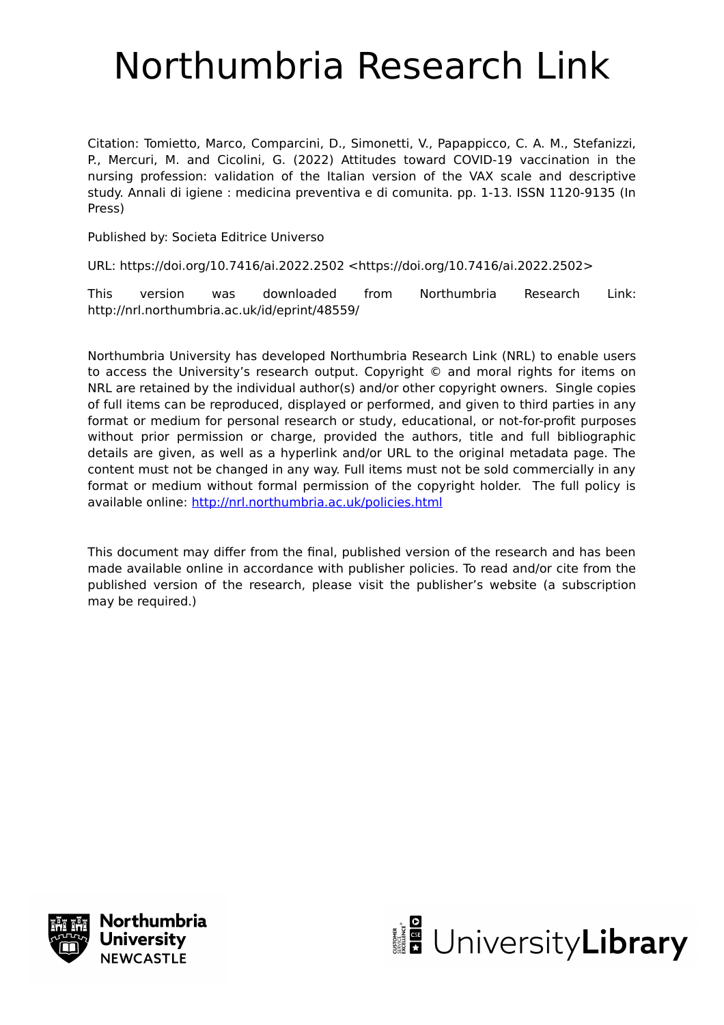# Northumbria Research Link

Citation: Tomietto, Marco, Comparcini, D., Simonetti, V., Papappicco, C. A. M., Stefanizzi, P., Mercuri, M. and Cicolini, G. (2022) Attitudes toward COVID-19 vaccination in the nursing profession: validation of the Italian version of the VAX scale and descriptive study. Annali di igiene : medicina preventiva e di comunita. pp. 1-13. ISSN 1120-9135 (In Press)

Published by: Societa Editrice Universo

URL: https://doi.org/10.7416/ai.2022.2502 <https://doi.org/10.7416/ai.2022.2502>

This version was downloaded from Northumbria Research Link: http://nrl.northumbria.ac.uk/id/eprint/48559/

Northumbria University has developed Northumbria Research Link (NRL) to enable users to access the University's research output. Copyright © and moral rights for items on NRL are retained by the individual author(s) and/or other copyright owners. Single copies of full items can be reproduced, displayed or performed, and given to third parties in any format or medium for personal research or study, educational, or not-for-profit purposes without prior permission or charge, provided the authors, title and full bibliographic details are given, as well as a hyperlink and/or URL to the original metadata page. The content must not be changed in any way. Full items must not be sold commercially in any format or medium without formal permission of the copyright holder. The full policy is available online:<http://nrl.northumbria.ac.uk/policies.html>

This document may differ from the final, published version of the research and has been made available online in accordance with publisher policies. To read and/or cite from the published version of the research, please visit the publisher's website (a subscription may be required.)



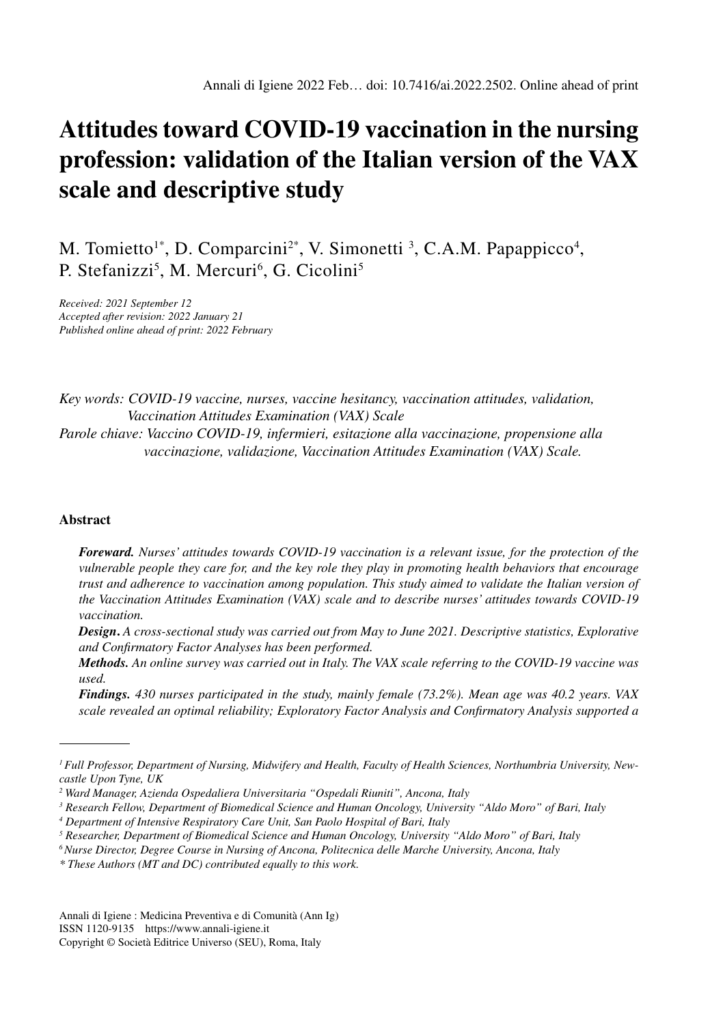# **Attitudes toward COVID-19 vaccination in the nursing profession: validation of the Italian version of the VAX scale and descriptive study**

M. Tomietto<sup>1\*</sup>, D. Comparcini<sup>2\*</sup>, V. Simonetti<sup>3</sup>, C.A.M. Papappicco<sup>4</sup>, P. Stefanizzi<sup>5</sup>, M. Mercuri<sup>6</sup>, G. Cicolini<sup>5</sup>

*Received: 2021 September 12 Accepted after revision: 2022 January 21 Published online ahead of print: 2022 February*

*Key words: COVID-19 vaccine, nurses, vaccine hesitancy, vaccination attitudes, validation, Vaccination Attitudes Examination (VAX) Scale Parole chiave: Vaccino COVID-19, infermieri, esitazione alla vaccinazione, propensione alla vaccinazione, validazione, Vaccination Attitudes Examination (VAX) Scale.*

#### **Abstract**

*Foreward. Nurses' attitudes towards COVID-19 vaccination is a relevant issue, for the protection of the vulnerable people they care for, and the key role they play in promoting health behaviors that encourage trust and adherence to vaccination among population. This study aimed to validate the Italian version of the Vaccination Attitudes Examination (VAX) scale and to describe nurses' attitudes towards COVID-19 vaccination.*

*Design***.** *A cross-sectional study was carried out from May to June 2021. Descriptive statistics, Explorative and Confirmatory Factor Analyses has been performed.*

*Methods. An online survey was carried out in Italy. The VAX scale referring to the COVID-19 vaccine was used.* 

*Findings. 430 nurses participated in the study, mainly female (73.2%). Mean age was 40.2 years. VAX scale revealed an optimal reliability; Exploratory Factor Analysis and Confirmatory Analysis supported a* 

Annali di Igiene : Medicina Preventiva e di Comunità (Ann Ig) ISSN 1120-9135 https://www.annali-igiene.it

*<sup>1</sup> Full Professor, Department of Nursing, Midwifery and Health, Faculty of Health Sciences, Northumbria University, Newcastle Upon Tyne, UK*

*<sup>2</sup> Ward Manager, Azienda Ospedaliera Universitaria "Ospedali Riuniti", Ancona, Italy*

*<sup>3</sup> Research Fellow, Department of Biomedical Science and Human Oncology, University "Aldo Moro" of Bari, Italy*

*<sup>4</sup> Department of Intensive Respiratory Care Unit, San Paolo Hospital of Bari, Italy*

*<sup>5</sup> Researcher, Department of Biomedical Science and Human Oncology, University "Aldo Moro" of Bari, Italy*

*<sup>6</sup> Nurse Director, Degree Course in Nursing of Ancona, Politecnica delle Marche University, Ancona, Italy*

*<sup>\*</sup> These Authors (MT and DC) contributed equally to this work.*

Copyright © Società Editrice Universo (SEU), Roma, Italy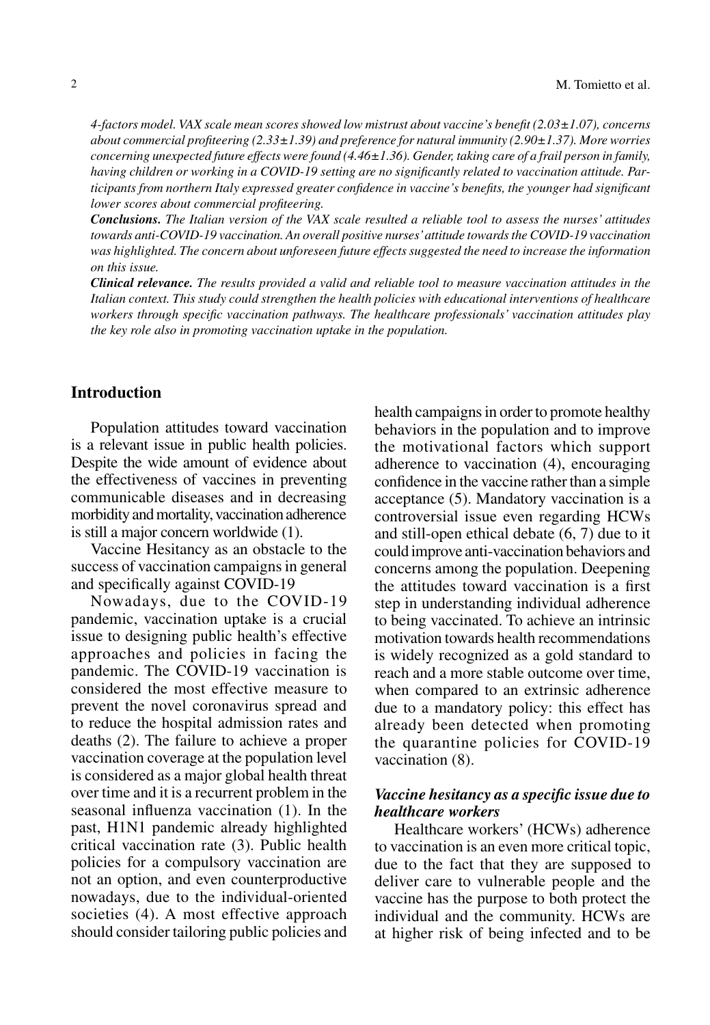*4-factors model. VAX scale mean scores showed low mistrust about vaccine's benefit (2.03±1.07), concerns about commercial profiteering (2.33±1.39) and preference for natural immunity (2.90±1.37). More worries concerning unexpected future effects were found (4.46±1.36). Gender, taking care of a frail person in family, having children or working in a COVID-19 setting are no significantly related to vaccination attitude. Participants from northern Italy expressed greater confidence in vaccine's benefits, the younger had significant lower scores about commercial profiteering.* 

*Conclusions. The Italian version of the VAX scale resulted a reliable tool to assess the nurses' attitudes towards anti-COVID-19 vaccination. An overall positive nurses' attitude towards the COVID-19 vaccination was highlighted. The concern about unforeseen future effects suggested the need to increase the information on this issue.* 

*Clinical relevance. The results provided a valid and reliable tool to measure vaccination attitudes in the Italian context. This study could strengthen the health policies with educational interventions of healthcare workers through specific vaccination pathways. The healthcare professionals' vaccination attitudes play the key role also in promoting vaccination uptake in the population.*

# **Introduction**

Population attitudes toward vaccination is a relevant issue in public health policies. Despite the wide amount of evidence about the effectiveness of vaccines in preventing communicable diseases and in decreasing morbidity and mortality, vaccination adherence is still a major concern worldwide (1).

Vaccine Hesitancy as an obstacle to the success of vaccination campaigns in general and specifically against COVID-19

Nowadays, due to the COVID-19 pandemic, vaccination uptake is a crucial issue to designing public health's effective approaches and policies in facing the pandemic. The COVID-19 vaccination is considered the most effective measure to prevent the novel coronavirus spread and to reduce the hospital admission rates and deaths (2). The failure to achieve a proper vaccination coverage at the population level is considered as a major global health threat over time and it is a recurrent problem in the seasonal influenza vaccination (1). In the past, H1N1 pandemic already highlighted critical vaccination rate (3). Public health policies for a compulsory vaccination are not an option, and even counterproductive nowadays, due to the individual-oriented societies (4). A most effective approach should consider tailoring public policies and health campaigns in order to promote healthy behaviors in the population and to improve the motivational factors which support adherence to vaccination (4), encouraging confidence in the vaccine rather than a simple acceptance (5). Mandatory vaccination is a controversial issue even regarding HCWs and still-open ethical debate (6, 7) due to it could improve anti-vaccination behaviors and concerns among the population. Deepening the attitudes toward vaccination is a first step in understanding individual adherence to being vaccinated. To achieve an intrinsic motivation towards health recommendations is widely recognized as a gold standard to reach and a more stable outcome over time, when compared to an extrinsic adherence due to a mandatory policy: this effect has already been detected when promoting the quarantine policies for COVID-19 vaccination (8).

# *Vaccine hesitancy as a specific issue due to healthcare workers*

Healthcare workers' (HCWs) adherence to vaccination is an even more critical topic, due to the fact that they are supposed to deliver care to vulnerable people and the vaccine has the purpose to both protect the individual and the community. HCWs are at higher risk of being infected and to be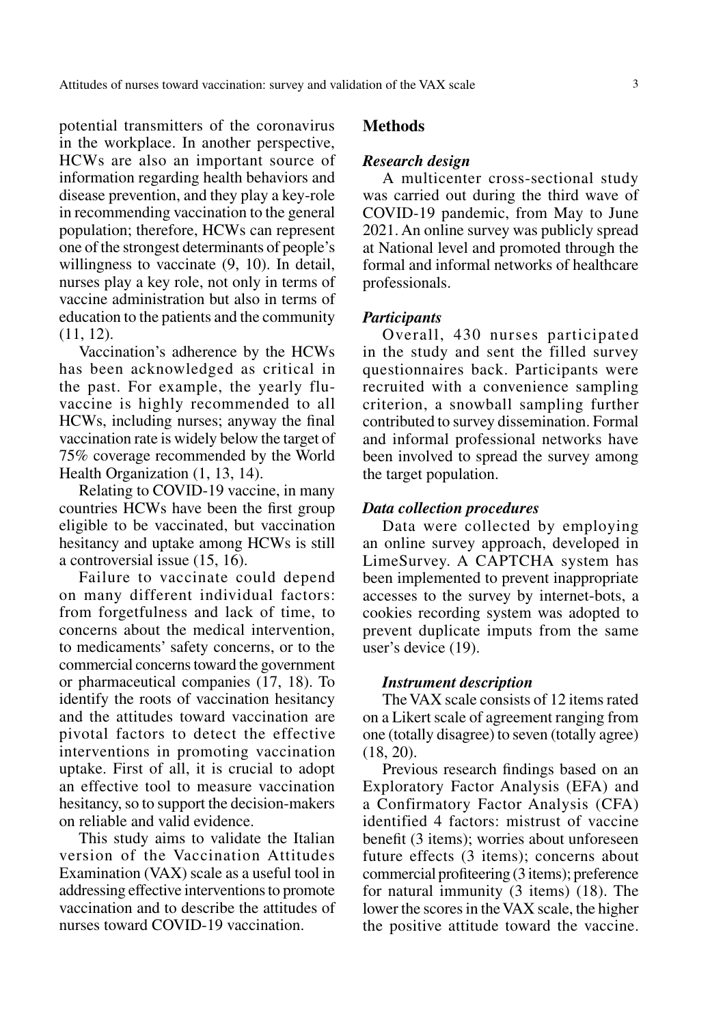potential transmitters of the coronavirus in the workplace. In another perspective, HCWs are also an important source of information regarding health behaviors and disease prevention, and they play a key-role in recommending vaccination to the general population; therefore, HCWs can represent one of the strongest determinants of people's willingness to vaccinate  $(9, 10)$ . In detail, nurses play a key role, not only in terms of vaccine administration but also in terms of education to the patients and the community (11, 12).

Vaccination's adherence by the HCWs has been acknowledged as critical in the past. For example, the yearly fluvaccine is highly recommended to all HCWs, including nurses; anyway the final vaccination rate is widely below the target of 75% coverage recommended by the World Health Organization (1, 13, 14).

Relating to COVID-19 vaccine, in many countries HCWs have been the first group eligible to be vaccinated, but vaccination hesitancy and uptake among HCWs is still a controversial issue (15, 16).

Failure to vaccinate could depend on many different individual factors: from forgetfulness and lack of time, to concerns about the medical intervention, to medicaments' safety concerns, or to the commercial concerns toward the government or pharmaceutical companies (17, 18). To identify the roots of vaccination hesitancy and the attitudes toward vaccination are pivotal factors to detect the effective interventions in promoting vaccination uptake. First of all, it is crucial to adopt an effective tool to measure vaccination hesitancy, so to support the decision-makers on reliable and valid evidence.

This study aims to validate the Italian version of the Vaccination Attitudes Examination (VAX) scale as a useful tool in addressing effective interventions to promote vaccination and to describe the attitudes of nurses toward COVID-19 vaccination.

# **Methods**

#### *Research design*

A multicenter cross-sectional study was carried out during the third wave of COVID-19 pandemic, from May to June 2021. An online survey was publicly spread at National level and promoted through the formal and informal networks of healthcare professionals.

### *Participants*

Overall, 430 nurses participated in the study and sent the filled survey questionnaires back. Participants were recruited with a convenience sampling criterion, a snowball sampling further contributed to survey dissemination. Formal and informal professional networks have been involved to spread the survey among the target population.

#### *Data collection procedures*

Data were collected by employing an online survey approach, developed in LimeSurvey. A CAPTCHA system has been implemented to prevent inappropriate accesses to the survey by internet-bots, a cookies recording system was adopted to prevent duplicate imputs from the same user's device (19).

# *Instrument description*

The VAX scale consists of 12 items rated on a Likert scale of agreement ranging from one (totally disagree) to seven (totally agree) (18, 20).

Previous research findings based on an Exploratory Factor Analysis (EFA) and a Confirmatory Factor Analysis (CFA) identified 4 factors: mistrust of vaccine benefit (3 items); worries about unforeseen future effects (3 items); concerns about commercial profiteering (3 items); preference for natural immunity (3 items) (18). The lower the scores in the VAX scale, the higher the positive attitude toward the vaccine.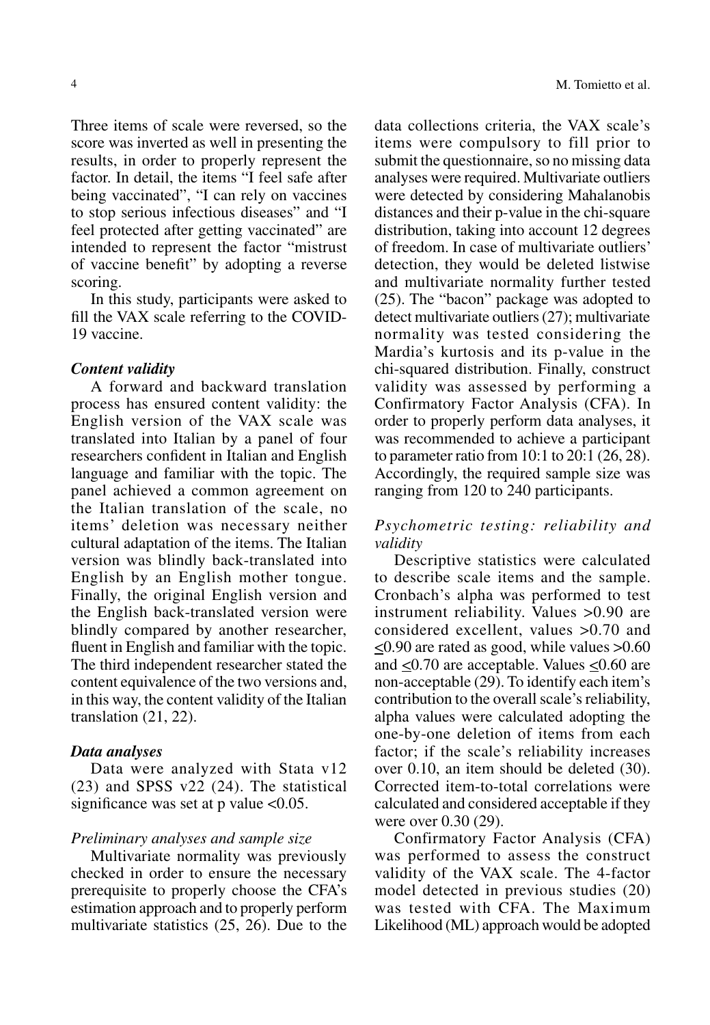Three items of scale were reversed, so the score was inverted as well in presenting the results, in order to properly represent the factor. In detail, the items "I feel safe after being vaccinated", "I can rely on vaccines to stop serious infectious diseases" and "I feel protected after getting vaccinated" are intended to represent the factor "mistrust of vaccine benefit" by adopting a reverse scoring.

In this study, participants were asked to fill the VAX scale referring to the COVID-19 vaccine.

## *Content validity*

A forward and backward translation process has ensured content validity: the English version of the VAX scale was translated into Italian by a panel of four researchers confident in Italian and English language and familiar with the topic. The panel achieved a common agreement on the Italian translation of the scale, no items' deletion was necessary neither cultural adaptation of the items. The Italian version was blindly back-translated into English by an English mother tongue. Finally, the original English version and the English back-translated version were blindly compared by another researcher, fluent in English and familiar with the topic. The third independent researcher stated the content equivalence of the two versions and, in this way, the content validity of the Italian translation (21, 22).

## *Data analyses*

Data were analyzed with Stata v12 (23) and SPSS v22 (24). The statistical significance was set at  $p$  value  $<0.05$ .

#### *Preliminary analyses and sample size*

Multivariate normality was previously checked in order to ensure the necessary prerequisite to properly choose the CFA's estimation approach and to properly perform multivariate statistics (25, 26). Due to the data collections criteria, the VAX scale's items were compulsory to fill prior to submit the questionnaire, so no missing data analyses were required. Multivariate outliers were detected by considering Mahalanobis distances and their p-value in the chi-square distribution, taking into account 12 degrees of freedom. In case of multivariate outliers' detection, they would be deleted listwise and multivariate normality further tested (25). The "bacon" package was adopted to detect multivariate outliers (27); multivariate normality was tested considering the Mardia's kurtosis and its p-value in the chi-squared distribution. Finally, construct validity was assessed by performing a Confirmatory Factor Analysis (CFA). In order to properly perform data analyses, it was recommended to achieve a participant to parameter ratio from 10:1 to 20:1 (26, 28). Accordingly, the required sample size was ranging from 120 to 240 participants.

# *Psychometric testing: reliability and validity*

Descriptive statistics were calculated to describe scale items and the sample. Cronbach's alpha was performed to test instrument reliability. Values >0.90 are considered excellent, values >0.70 and  $\leq$ 0.90 are rated as good, while values  $>$ 0.60 and <0.70 are acceptable. Values <0.60 are non-acceptable (29). To identify each item's contribution to the overall scale's reliability, alpha values were calculated adopting the one-by-one deletion of items from each factor; if the scale's reliability increases over 0.10, an item should be deleted (30). Corrected item-to-total correlations were calculated and considered acceptable if they were over 0.30 (29).

Confirmatory Factor Analysis (CFA) was performed to assess the construct validity of the VAX scale. The 4-factor model detected in previous studies (20) was tested with CFA. The Maximum Likelihood (ML) approach would be adopted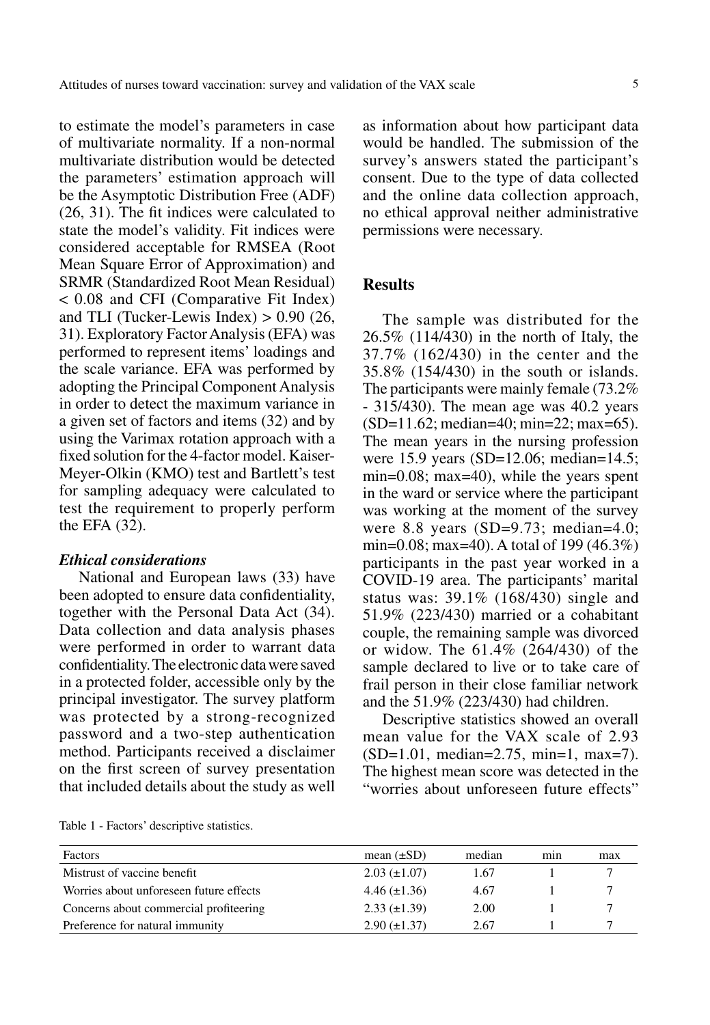to estimate the model's parameters in case of multivariate normality. If a non-normal multivariate distribution would be detected the parameters' estimation approach will be the Asymptotic Distribution Free (ADF) (26, 31). The fit indices were calculated to state the model's validity. Fit indices were considered acceptable for RMSEA (Root Mean Square Error of Approximation) and SRMR (Standardized Root Mean Residual) < 0.08 and CFI (Comparative Fit Index) and TLI (Tucker-Lewis Index)  $> 0.90$  (26, 31). Exploratory Factor Analysis (EFA) was performed to represent items' loadings and the scale variance. EFA was performed by adopting the Principal Component Analysis in order to detect the maximum variance in a given set of factors and items (32) and by using the Varimax rotation approach with a fixed solution for the 4-factor model. Kaiser-Meyer-Olkin (KMO) test and Bartlett's test for sampling adequacy were calculated to test the requirement to properly perform the EFA (32).

# *Ethical considerations*

National and European laws (33) have been adopted to ensure data confidentiality, together with the Personal Data Act (34). Data collection and data analysis phases were performed in order to warrant data confidentiality. The electronic data were saved in a protected folder, accessible only by the principal investigator. The survey platform was protected by a strong-recognized password and a two-step authentication method. Participants received a disclaimer on the first screen of survey presentation that included details about the study as well

as information about how participant data would be handled. The submission of the survey's answers stated the participant's consent. Due to the type of data collected and the online data collection approach, no ethical approval neither administrative permissions were necessary.

# **Results**

The sample was distributed for the 26.5% (114/430) in the north of Italy, the 37.7% (162/430) in the center and the 35.8% (154/430) in the south or islands. The participants were mainly female (73.2% - 315/430). The mean age was 40.2 years (SD=11.62; median=40; min=22; max=65). The mean years in the nursing profession were 15.9 years (SD=12.06; median=14.5; min=0.08; max=40), while the years spent in the ward or service where the participant was working at the moment of the survey were 8.8 years (SD=9.73; median=4.0; min=0.08; max=40). A total of 199 (46.3%) participants in the past year worked in a COVID-19 area. The participants' marital status was: 39.1% (168/430) single and 51.9% (223/430) married or a cohabitant couple, the remaining sample was divorced or widow. The 61.4% (264/430) of the sample declared to live or to take care of frail person in their close familiar network and the 51.9% (223/430) had children.

Descriptive statistics showed an overall mean value for the VAX scale of 2.93 (SD=1.01, median=2.75, min=1, max=7). The highest mean score was detected in the "worries about unforeseen future effects"

Table 1 - Factors' descriptive statistics.

| Factors                                 | mean $(\pm SD)$     | median | min | max |
|-----------------------------------------|---------------------|--------|-----|-----|
| Mistrust of vaccine benefit             | $2.03 \ (\pm 1.07)$ | 1.67   |     |     |
| Worries about unforeseen future effects | $4.46 \ (\pm 1.36)$ | 4.67   |     |     |
| Concerns about commercial profiteering  | $2.33 \ (\pm 1.39)$ | 2.00   |     |     |
| Preference for natural immunity         | $2.90 \ (\pm 1.37)$ | 2.67   |     |     |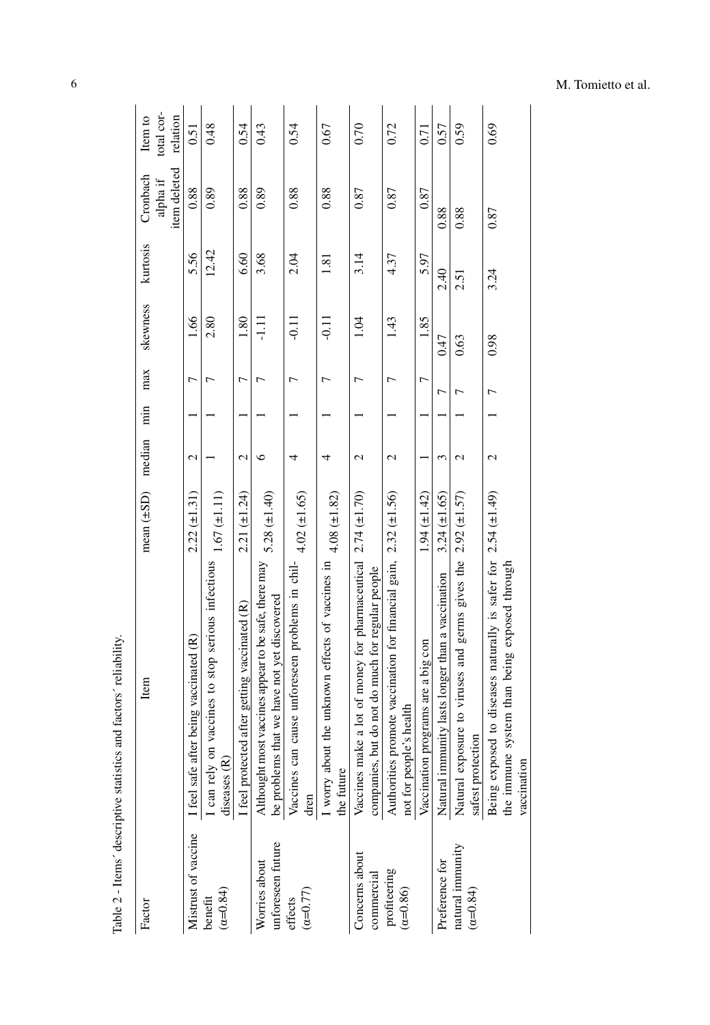| Table 2 - Items' descriptive statistics and | factors' reliability.                                                                                                                           |                   |                   |     |                |                  |          |                                      |                                   |
|---------------------------------------------|-------------------------------------------------------------------------------------------------------------------------------------------------|-------------------|-------------------|-----|----------------|------------------|----------|--------------------------------------|-----------------------------------|
| Factor                                      | Item                                                                                                                                            | mean $(\pm SD)$   | median            | nin | max            | skewness         | kurtosis | item deleted<br>Cronbach<br>alpha if | total cor-<br>Item to<br>relation |
| Mistrust of vaccine                         | I feel safe after being vaccinated (R)                                                                                                          | $2.22 (\pm 1.31)$ | $\mathcal{L}$     |     | 7              | 1.66             | 5.56     | 0.88                                 | 0.51                              |
| $(\alpha = 0.84)$<br>benefit                | I can rely on vaccines to stop serious infectious<br>diseases (R)                                                                               | $1.67 (\pm 1.11)$ |                   |     | Γ              | 2.80             | 12.42    | 0.89                                 | 0.48                              |
|                                             | I feel protected after getting vaccinated (R)                                                                                                   | $2.21 (\pm 1.24)$ | Z                 |     | 7              | 1.80             | 6.60     | 0.88                                 | 0.54                              |
| unforeseen future<br>Worries about          | Althought most vaccines appear to be safe, there may<br>be problems that we have not yet discovered                                             | $5.28 (\pm 1.40)$ | ७                 |     | ↽              | $\frac{111}{11}$ | 3.68     | 0.89                                 | 0.43                              |
| $(\alpha = 0.77)$<br>effects                | se unforeseen problems in chil-<br>Vaccines can cau<br>dren                                                                                     | $4.02 (\pm 1.65)$ | 4                 |     | ↽              | $-0.11$          | 2.04     | 0.88                                 | 0.54                              |
|                                             | I worry about the unknown effects of vaccines in<br>the future                                                                                  | 4.08 $(\pm 1.82)$ | 4                 |     | $\overline{ }$ | $-0.11$          | 1.81     | 0.88                                 | 0.67                              |
| Concerns about<br>commercial                | lot of money for pharmaceutical $2.74 \ (\pm 1.70)$<br>not do much for regular people<br>companies, but do<br>Vaccines make a                   |                   | $\mathcal{L}$     |     | ∼              | 1.04             | 3.14     | 0.87                                 | 0.70                              |
| profiteering<br>$(\alpha = 0.86)$           | Authorities promote vaccination for financial gain,<br>not for people's health                                                                  | $2.32 (\pm 1.56)$ | $\mathcal{L}$     |     | $\overline{ }$ | 1.43             | 4.37     | 0.87                                 | 0.72                              |
|                                             | Vaccination programs are a big con                                                                                                              | $1.94 (\pm 1.42)$ |                   |     | 7              | 1.85             | 5.97     | 0.87                                 | 0.71                              |
| Preference for                              | Natural immunity lasts longer than a vaccination                                                                                                | $3.24 (\pm 1.65)$ | 3                 |     | Γ              | 0.47             | 2.40     | 0.88                                 | 0.57                              |
| natural immunity<br>$(\alpha=0.84)$         | to viruses and germs gives the<br>Natural exposure<br>safest protection                                                                         | $2.92 (\pm 1.57)$ | $\mathcal{L}$     |     | ┌              | 0.63             | 2.51     | 0.88                                 | 0.59                              |
|                                             | diseases naturally is safer for $2.54 \left(\pm 1.49\right)$<br>the immune system than being exposed through<br>Being exposed to<br>vaccination |                   | $\mathbf{\Omega}$ |     | 冖              | 0.98             | 3.24     | 0.87                                 | 0.69                              |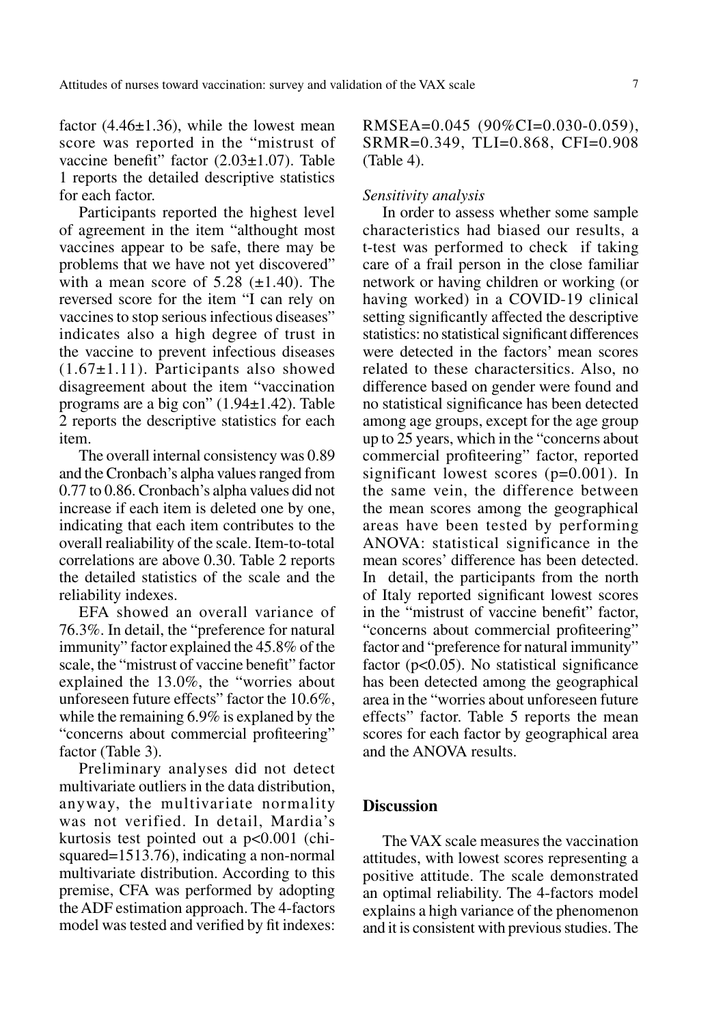factor  $(4.46\pm1.36)$ , while the lowest mean score was reported in the "mistrust of vaccine benefit" factor (2.03±1.07). Table 1 reports the detailed descriptive statistics for each factor.

Participants reported the highest level of agreement in the item "althought most vaccines appear to be safe, there may be problems that we have not yet discovered" with a mean score of  $5.28$  ( $\pm$ 1.40). The reversed score for the item "I can rely on vaccines to stop serious infectious diseases" indicates also a high degree of trust in the vaccine to prevent infectious diseases  $(1.67\pm1.11)$ . Participants also showed disagreement about the item "vaccination programs are a big con" (1.94±1.42). Table 2 reports the descriptive statistics for each item.

The overall internal consistency was 0.89 and the Cronbach's alpha values ranged from 0.77 to 0.86. Cronbach's alpha values did not increase if each item is deleted one by one, indicating that each item contributes to the overall realiability of the scale. Item-to-total correlations are above 0.30. Table 2 reports the detailed statistics of the scale and the reliability indexes.

EFA showed an overall variance of 76.3%. In detail, the "preference for natural immunity" factor explained the 45.8% of the scale, the "mistrust of vaccine benefit" factor explained the 13.0%, the "worries about unforeseen future effects" factor the 10.6%, while the remaining 6.9% is explaned by the "concerns about commercial profiteering" factor (Table 3).

Preliminary analyses did not detect multivariate outliers in the data distribution, anyway, the multivariate normality was not verified. In detail, Mardia's kurtosis test pointed out a p<0.001 (chisquared=1513.76), indicating a non-normal multivariate distribution. According to this premise, CFA was performed by adopting the ADF estimation approach. The 4-factors model was tested and verified by fit indexes:

RMSEA=0.045 (90%CI=0.030-0.059), SRMR=0.349, TLI=0.868, CFI=0.908 (Table 4).

# *Sensitivity analysis*

In order to assess whether some sample characteristics had biased our results, a t-test was performed to check if taking care of a frail person in the close familiar network or having children or working (or having worked) in a COVID-19 clinical setting significantly affected the descriptive statistics: no statistical significant differences were detected in the factors' mean scores related to these charactersitics. Also, no difference based on gender were found and no statistical significance has been detected among age groups, except for the age group up to 25 years, which in the "concerns about commercial profiteering" factor, reported significant lowest scores (p=0.001). In the same vein, the difference between the mean scores among the geographical areas have been tested by performing ANOVA: statistical significance in the mean scores' difference has been detected. In detail, the participants from the north of Italy reported significant lowest scores in the "mistrust of vaccine benefit" factor, "concerns about commercial profiteering" factor and "preference for natural immunity" factor ( $p<0.05$ ). No statistical significance has been detected among the geographical area in the "worries about unforeseen future effects" factor. Table 5 reports the mean scores for each factor by geographical area and the ANOVA results.

# **Discussion**

The VAX scale measures the vaccination attitudes, with lowest scores representing a positive attitude. The scale demonstrated an optimal reliability. The 4-factors model explains a high variance of the phenomenon and it is consistent with previous studies. The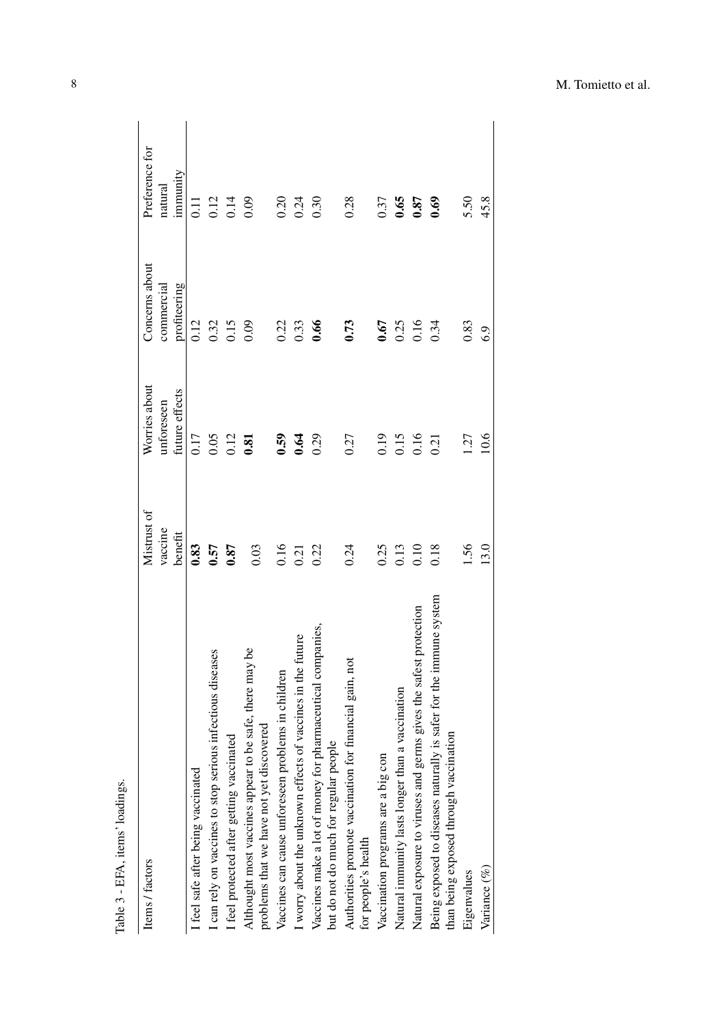| Items / factors                                                                                                 | Mistrust of | Worries about  | Concerns about | Preference for |
|-----------------------------------------------------------------------------------------------------------------|-------------|----------------|----------------|----------------|
|                                                                                                                 | vaccine     | unforeseen     | commercial     | natural        |
|                                                                                                                 | benefit     | future effects | profiteering   | immunity       |
| I feel safe after being vaccinated                                                                              | 0.83        | 0.17           | 0.12           | II<br>0        |
| I can rely on vaccines to stop serious infectious diseases                                                      | 0.57        | 0.05           | 0.32           | 0.12           |
| I feel protected after getting vaccinated                                                                       | 0.87        | 0.12           | 0.15           | 0.14           |
| Althought most vaccines appear to be safe, there may be<br>problems that we have not yet discovered             | 0.03        | 0.81           | 0.09           | 0.09           |
| Vaccines can cause unforeseen problems in children                                                              | 0.16        | 0.59           | 0.22           | 0.20           |
| I worry about the unknown effects of vaccines in the future                                                     | 0.21        | 0.64           | 0.33           | 0.24           |
| Vaccines make a lot of money for pharmaceutical companies,<br>but do not do much for regular people             | 0.22        | 0.29           | 0.66           | 0.30           |
| Authorities promote vaccination for financial gain, not<br>for people's health                                  | 0.24        | 0.27           | 0.73           | 0.28           |
| Vaccination programs are a big con                                                                              | 0.25        | 0.19           | 0.67           | 0.37           |
| Natural immunity lasts longer than a vaccination                                                                | 0.13        | 0.15           | 0.25           | 0.65           |
| Natural exposure to viruses and germs gives the safest protection                                               | 0.10        | 0.16           | 0.16           | 0.87           |
| safer for the immune system<br>than being exposed through vaccination<br>Being exposed to diseases naturally is | 0.18        | 0.21           | 0.34           | 0.69           |
| Eigenvalues                                                                                                     | 1.56        | 1.27           | 0.83           | 5.50           |
| Variance (%)                                                                                                    | 13.0        | 10.6           | 6.9            | 45.8           |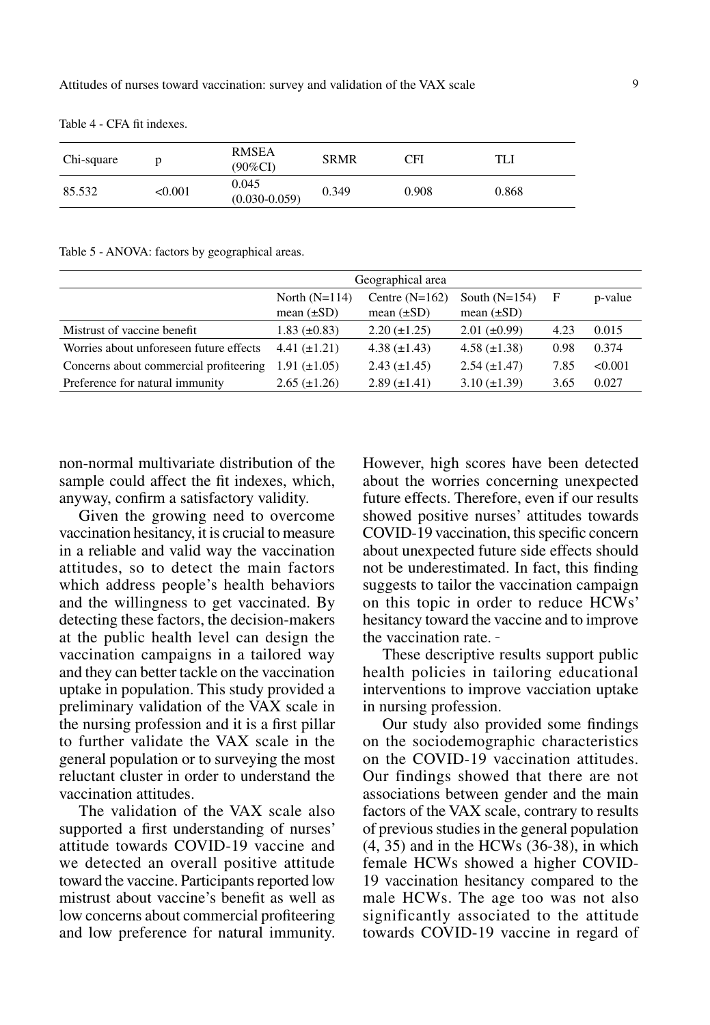Table 4 - CFA fit indexes.

| Chi-square |         | <b>RMSEA</b><br>(90%CI)    | <b>SRMR</b> | CFI   | TLI   |
|------------|---------|----------------------------|-------------|-------|-------|
| 85.532     | < 0.001 | 0.045<br>$(0.030 - 0.059)$ | 0.349       | 0.908 | 0.868 |

Table 5 - ANOVA: factors by geographical areas.

|                                         |                                    | Geographical area                   |                                    |      |         |
|-----------------------------------------|------------------------------------|-------------------------------------|------------------------------------|------|---------|
|                                         | North $(N=114)$<br>mean $(\pm SD)$ | Centre $(N=162)$<br>mean $(\pm SD)$ | South $(N=154)$<br>mean $(\pm SD)$ | F    | p-value |
| Mistrust of vaccine benefit             | $1.83 \ (\pm 0.83)$                | $2.20 (\pm 1.25)$                   | $2.01 (\pm 0.99)$                  | 4.23 | 0.015   |
| Worries about unforeseen future effects | $4.41 (\pm 1.21)$                  | 4.38 $(\pm 1.43)$                   | $4.58 \ (\pm 1.38)$                | 0.98 | 0.374   |
| Concerns about commercial profiteering  | $1.91 (\pm 1.05)$                  | $2.43 \ (\pm 1.45)$                 | $2.54 \ (\pm 1.47)$                | 7.85 | < 0.001 |
| Preference for natural immunity         | $2.65 (\pm 1.26)$                  | $2.89 \ (\pm 1.41)$                 | $3.10 (\pm 1.39)$                  | 3.65 | 0.027   |

non-normal multivariate distribution of the sample could affect the fit indexes, which, anyway, confirm a satisfactory validity.

Given the growing need to overcome vaccination hesitancy, it is crucial to measure in a reliable and valid way the vaccination attitudes, so to detect the main factors which address people's health behaviors and the willingness to get vaccinated. By detecting these factors, the decision-makers at the public health level can design the vaccination campaigns in a tailored way and they can better tackle on the vaccination uptake in population. This study provided a preliminary validation of the VAX scale in the nursing profession and it is a first pillar to further validate the VAX scale in the general population or to surveying the most reluctant cluster in order to understand the vaccination attitudes.

The validation of the VAX scale also supported a first understanding of nurses' attitude towards COVID-19 vaccine and we detected an overall positive attitude toward the vaccine. Participants reported low mistrust about vaccine's benefit as well as low concerns about commercial profiteering and low preference for natural immunity.

However, high scores have been detected about the worries concerning unexpected future effects. Therefore, even if our results showed positive nurses' attitudes towards COVID-19 vaccination, this specific concern about unexpected future side effects should not be underestimated. In fact, this finding suggests to tailor the vaccination campaign on this topic in order to reduce HCWs' hesitancy toward the vaccine and to improve the vaccination rate.

These descriptive results support public health policies in tailoring educational interventions to improve vacciation uptake in nursing profession.

Our study also provided some findings on the sociodemographic characteristics on the COVID-19 vaccination attitudes. Our findings showed that there are not associations between gender and the main factors of the VAX scale, contrary to results of previous studies in the general population (4, 35) and in the HCWs (36-38), in which female HCWs showed a higher COVID-19 vaccination hesitancy compared to the male HCWs. The age too was not also significantly associated to the attitude towards COVID-19 vaccine in regard of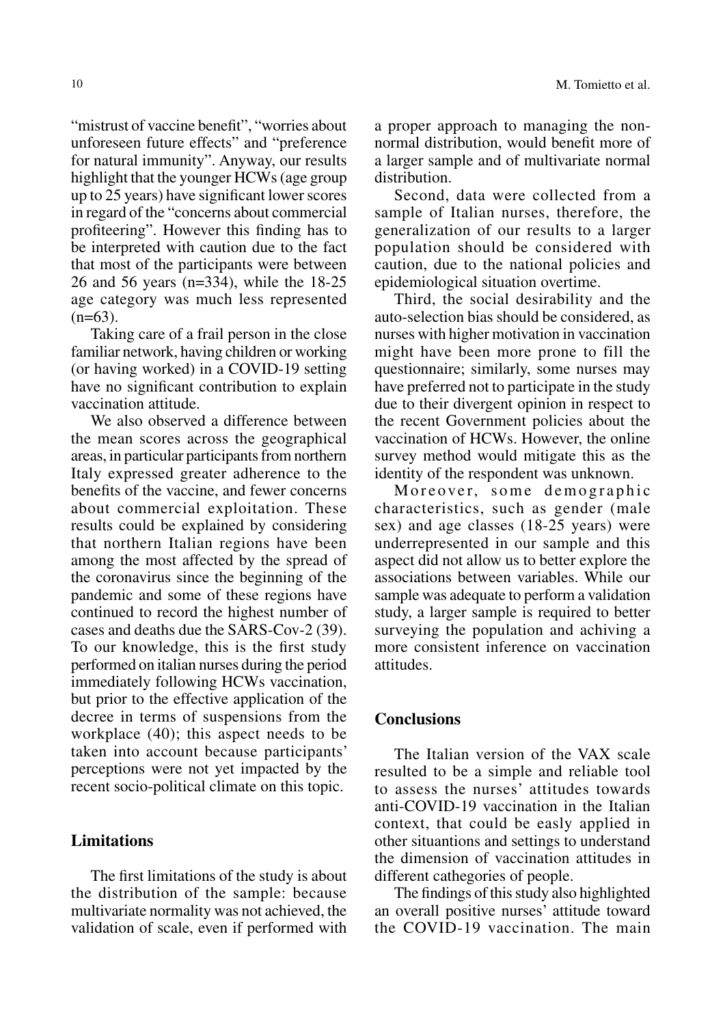"mistrust of vaccine benefit", "worries about unforeseen future effects" and "preference for natural immunity". Anyway, our results highlight that the younger HCWs (age group up to 25 years) have significant lower scores in regard of the "concerns about commercial profiteering". However this finding has to be interpreted with caution due to the fact that most of the participants were between 26 and 56 years (n=334), while the 18-25 age category was much less represented  $(n=63)$ .

Taking care of a frail person in the close familiar network, having children or working (or having worked) in a COVID-19 setting have no significant contribution to explain vaccination attitude.

We also observed a difference between the mean scores across the geographical areas, in particular participants from northern Italy expressed greater adherence to the benefits of the vaccine, and fewer concerns about commercial exploitation. These results could be explained by considering that northern Italian regions have been among the most affected by the spread of the coronavirus since the beginning of the pandemic and some of these regions have continued to record the highest number of cases and deaths due the SARS-Cov-2 (39). To our knowledge, this is the first study performed on italian nurses during the period immediately following HCWs vaccination, but prior to the effective application of the decree in terms of suspensions from the workplace (40); this aspect needs to be taken into account because participants' perceptions were not yet impacted by the recent socio-political climate on this topic.

# **Limitations**

The first limitations of the study is about the distribution of the sample: because multivariate normality was not achieved, the validation of scale, even if performed with

a proper approach to managing the nonnormal distribution, would benefit more of a larger sample and of multivariate normal distribution.

Second, data were collected from a sample of Italian nurses, therefore, the generalization of our results to a larger population should be considered with caution, due to the national policies and epidemiological situation overtime.

Third, the social desirability and the auto-selection bias should be considered, as nurses with higher motivation in vaccination might have been more prone to fill the questionnaire; similarly, some nurses may have preferred not to participate in the study due to their divergent opinion in respect to the recent Government policies about the vaccination of HCWs. However, the online survey method would mitigate this as the identity of the respondent was unknown.

Moreover, some demographic characteristics, such as gender (male sex) and age classes (18-25 years) were underrepresented in our sample and this aspect did not allow us to better explore the associations between variables. While our sample was adequate to perform a validation study, a larger sample is required to better surveying the population and achiving a more consistent inference on vaccination attitudes.

# **Conclusions**

The Italian version of the VAX scale resulted to be a simple and reliable tool to assess the nurses' attitudes towards anti-COVID-19 vaccination in the Italian context, that could be easly applied in other situantions and settings to understand the dimension of vaccination attitudes in different cathegories of people.

The findings of this study also highlighted an overall positive nurses' attitude toward the COVID-19 vaccination. The main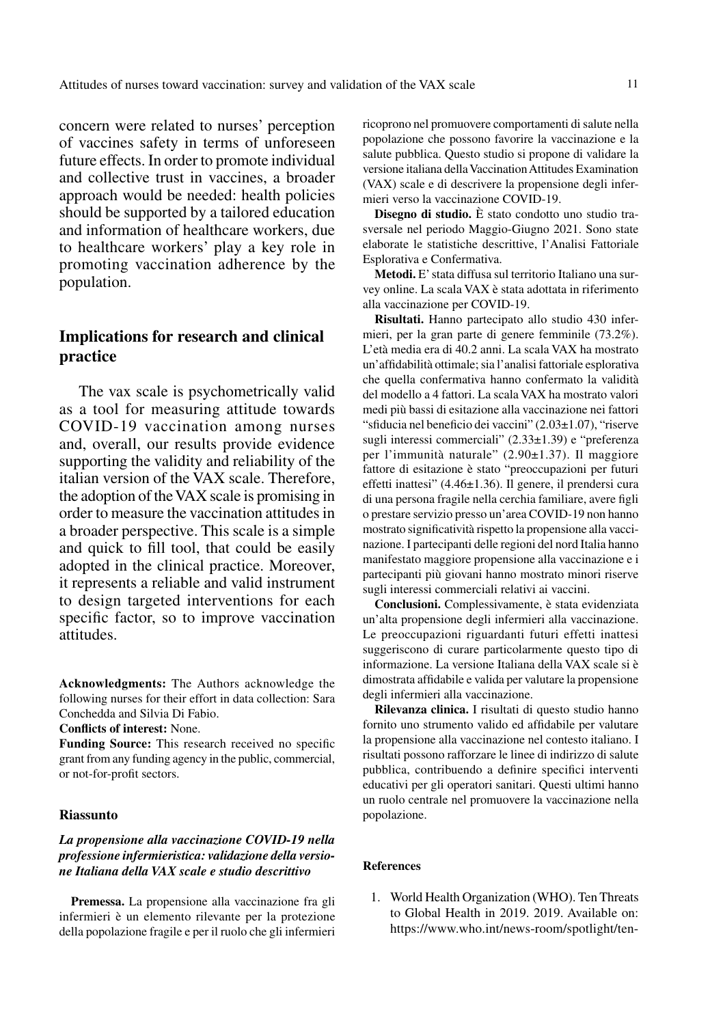concern were related to nurses' perception of vaccines safety in terms of unforeseen future effects. In order to promote individual and collective trust in vaccines, a broader approach would be needed: health policies should be supported by a tailored education and information of healthcare workers, due to healthcare workers' play a key role in promoting vaccination adherence by the population.

# **Implications for research and clinical practice**

The vax scale is psychometrically valid as a tool for measuring attitude towards COVID-19 vaccination among nurses and, overall, our results provide evidence supporting the validity and reliability of the italian version of the VAX scale. Therefore, the adoption of the VAX scale is promising in order to measure the vaccination attitudes in a broader perspective. This scale is a simple and quick to fill tool, that could be easily adopted in the clinical practice. Moreover, it represents a reliable and valid instrument to design targeted interventions for each specific factor, so to improve vaccination attitudes.

**Acknowledgments:** The Authors acknowledge the following nurses for their effort in data collection: Sara Conchedda and Silvia Di Fabio.

**Conflicts of interest:** None.

**Funding Source:** This research received no specific grant from any funding agency in the public, commercial, or not-for-profit sectors.

#### **Riassunto**

## *La propensione alla vaccinazione COVID-19 nella professione infermieristica: validazione della versione Italiana della VAX scale e studio descrittivo*

**Premessa.** La propensione alla vaccinazione fra gli infermieri è un elemento rilevante per la protezione della popolazione fragile e per il ruolo che gli infermieri

ricoprono nel promuovere comportamenti di salute nella popolazione che possono favorire la vaccinazione e la salute pubblica. Questo studio si propone di validare la versione italiana della Vaccination Attitudes Examination (VAX) scale e di descrivere la propensione degli infermieri verso la vaccinazione COVID-19.

**Disegno di studio.** È stato condotto uno studio trasversale nel periodo Maggio-Giugno 2021. Sono state elaborate le statistiche descrittive, l'Analisi Fattoriale Esplorativa e Confermativa.

**Metodi.** E' stata diffusa sul territorio Italiano una survey online. La scala VAX è stata adottata in riferimento alla vaccinazione per COVID-19.

**Risultati.** Hanno partecipato allo studio 430 infermieri, per la gran parte di genere femminile (73.2%). L'età media era di 40.2 anni. La scala VAX ha mostrato un'affidabilità ottimale; sia l'analisi fattoriale esplorativa che quella confermativa hanno confermato la validità del modello a 4 fattori. La scala VAX ha mostrato valori medi più bassi di esitazione alla vaccinazione nei fattori "sfiducia nel beneficio dei vaccini" (2.03±1.07), "riserve sugli interessi commerciali" (2.33±1.39) e "preferenza per l'immunità naturale" (2.90±1.37). Il maggiore fattore di esitazione è stato "preoccupazioni per futuri effetti inattesi" (4.46±1.36). Il genere, il prendersi cura di una persona fragile nella cerchia familiare, avere figli o prestare servizio presso un'area COVID-19 non hanno mostrato significatività rispetto la propensione alla vaccinazione. I partecipanti delle regioni del nord Italia hanno manifestato maggiore propensione alla vaccinazione e i partecipanti più giovani hanno mostrato minori riserve sugli interessi commerciali relativi ai vaccini.

**Conclusioni.** Complessivamente, è stata evidenziata un'alta propensione degli infermieri alla vaccinazione. Le preoccupazioni riguardanti futuri effetti inattesi suggeriscono di curare particolarmente questo tipo di informazione. La versione Italiana della VAX scale si è dimostrata affidabile e valida per valutare la propensione degli infermieri alla vaccinazione.

**Rilevanza clinica.** I risultati di questo studio hanno fornito uno strumento valido ed affidabile per valutare la propensione alla vaccinazione nel contesto italiano. I risultati possono rafforzare le linee di indirizzo di salute pubblica, contribuendo a definire specifici interventi educativi per gli operatori sanitari. Questi ultimi hanno un ruolo centrale nel promuovere la vaccinazione nella popolazione.

#### **References**

1. World Health Organization (WHO). Ten Threats to Global Health in 2019. 2019. Available on: https://www.who.int/news-room/spotlight/ten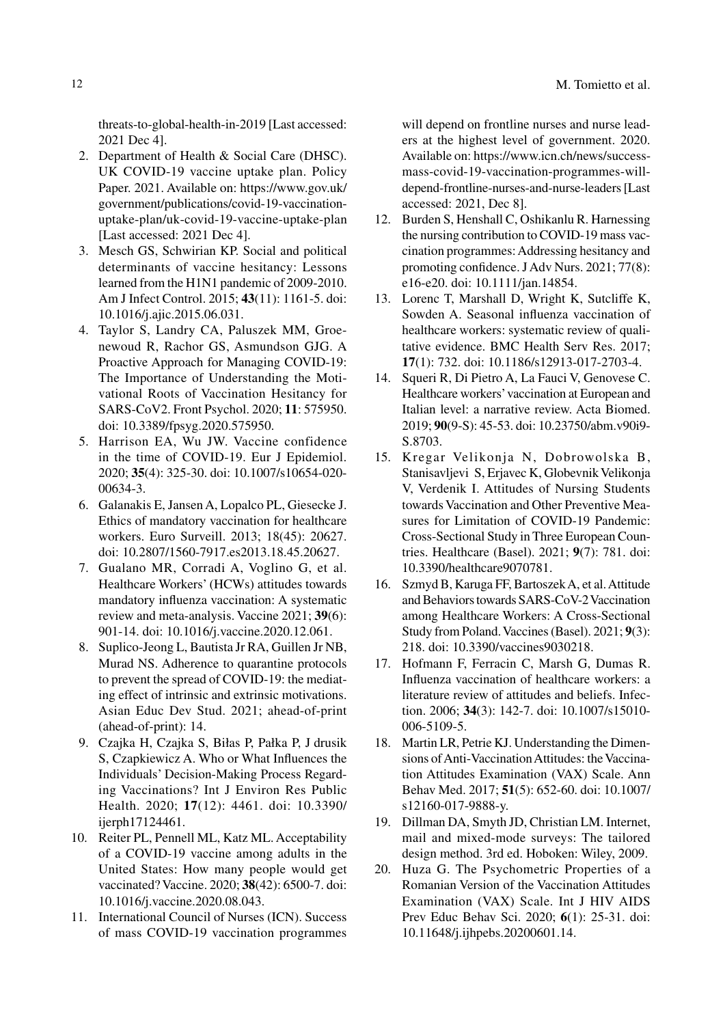threats-to-global-health-in-2019 [Last accessed: 2021 Dec 4].

- 2. Department of Health & Social Care (DHSC). UK COVID-19 vaccine uptake plan. Policy Paper. 2021. Available on: https://www.gov.uk/ government/publications/covid-19-vaccinationuptake-plan/uk-covid-19-vaccine-uptake-plan [Last accessed: 2021 Dec 4].
- 3. Mesch GS, Schwirian KP. Social and political determinants of vaccine hesitancy: Lessons learned from the H1N1 pandemic of 2009-2010. Am J Infect Control. 2015; **43**(11): 1161-5. doi: 10.1016/j.ajic.2015.06.031.
- 4. Taylor S, Landry CA, Paluszek MM, Groenewoud R, Rachor GS, Asmundson GJG. A Proactive Approach for Managing COVID-19: The Importance of Understanding the Motivational Roots of Vaccination Hesitancy for SARS-CoV2. Front Psychol. 2020; **11**: 575950. doi: 10.3389/fpsyg.2020.575950.
- 5. Harrison EA, Wu JW. Vaccine confidence in the time of COVID-19. Eur J Epidemiol. 2020; **35**(4): 325-30. doi: 10.1007/s10654-020- 00634-3.
- 6. Galanakis E, Jansen A, Lopalco PL, Giesecke J. Ethics of mandatory vaccination for healthcare workers. Euro Surveill. 2013; 18(45): 20627. doi: 10.2807/1560-7917.es2013.18.45.20627.
- 7. Gualano MR, Corradi A, Voglino G, et al. Healthcare Workers' (HCWs) attitudes towards mandatory influenza vaccination: A systematic review and meta-analysis. Vaccine 2021; **39**(6): 901-14. doi: 10.1016/j.vaccine.2020.12.061.
- 8. Suplico-Jeong L, Bautista Jr RA, Guillen Jr NB, Murad NS. Adherence to quarantine protocols to prevent the spread of COVID-19: the mediating effect of intrinsic and extrinsic motivations. Asian Educ Dev Stud. 2021; ahead-of-print (ahead-of-print): 14.
- 9. Czajka H, Czajka S, Biłas P, Pałka P, J drusik S, Czapkiewicz A. Who or What Influences the Individuals' Decision-Making Process Regarding Vaccinations? Int J Environ Res Public Health. 2020; **17**(12): 4461. doi: 10.3390/ ijerph17124461.
- 10. Reiter PL, Pennell ML, Katz ML. Acceptability of a COVID-19 vaccine among adults in the United States: How many people would get vaccinated? Vaccine. 2020; **38**(42): 6500-7. doi: 10.1016/j.vaccine.2020.08.043.
- 11. International Council of Nurses (ICN). Success of mass COVID-19 vaccination programmes

will depend on frontline nurses and nurse leaders at the highest level of government. 2020. Available on: https://www.icn.ch/news/successmass-covid-19-vaccination-programmes-willdepend-frontline-nurses-and-nurse-leaders [Last accessed: 2021, Dec 8].

- 12. Burden S, Henshall C, Oshikanlu R. Harnessing the nursing contribution to COVID-19 mass vaccination programmes: Addressing hesitancy and promoting confidence. J Adv Nurs. 2021; 77(8): e16-e20. doi: 10.1111/jan.14854.
- 13. Lorenc T, Marshall D, Wright K, Sutcliffe K, Sowden A. Seasonal influenza vaccination of healthcare workers: systematic review of qualitative evidence. BMC Health Serv Res. 2017; **17**(1): 732. doi: 10.1186/s12913-017-2703-4.
- 14. Squeri R, Di Pietro A, La Fauci V, Genovese C. Healthcare workers' vaccination at European and Italian level: a narrative review. Acta Biomed. 2019; **90**(9-S): 45-53. doi: 10.23750/abm.v90i9- S.8703.
- 15. Kregar Velikonja N, Dobrowolska B, Stanisavljevi S, Erjavec K, Globevnik Velikonja V, Verdenik I. Attitudes of Nursing Students towards Vaccination and Other Preventive Measures for Limitation of COVID-19 Pandemic: Cross-Sectional Study in Three European Countries. Healthcare (Basel). 2021; **9**(7): 781. doi: 10.3390/healthcare9070781.
- 16. Szmyd B, Karuga FF, Bartoszek A, et al. Attitude and Behaviors towards SARS-CoV-2 Vaccination among Healthcare Workers: A Cross-Sectional Study from Poland. Vaccines (Basel). 2021; **9**(3): 218. doi: 10.3390/vaccines9030218.
- 17. Hofmann F, Ferracin C, Marsh G, Dumas R. Influenza vaccination of healthcare workers: a literature review of attitudes and beliefs. Infection. 2006; **34**(3): 142-7. doi: 10.1007/s15010- 006-5109-5.
- 18. Martin LR, Petrie KJ. Understanding the Dimensions of Anti-Vaccination Attitudes: the Vaccination Attitudes Examination (VAX) Scale. Ann Behav Med. 2017; **51**(5): 652-60. doi: 10.1007/ s12160-017-9888-y.
- 19. Dillman DA, Smyth JD, Christian LM. Internet, mail and mixed-mode surveys: The tailored design method. 3rd ed. Hoboken: Wiley, 2009.
- 20. Huza G. The Psychometric Properties of a Romanian Version of the Vaccination Attitudes Examination (VAX) Scale. Int J HIV AIDS Prev Educ Behav Sci. 2020; **6**(1): 25-31. doi: 10.11648/j.ijhpebs.20200601.14.